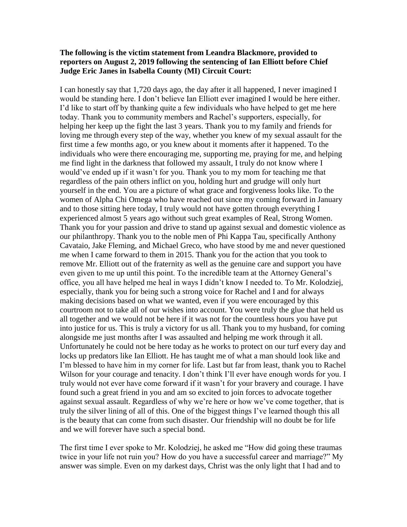## **The following is the victim statement from Leandra Blackmore, provided to reporters on August 2, 2019 following the sentencing of Ian Elliott before Chief Judge Eric Janes in Isabella County (MI) Circuit Court:**

I can honestly say that 1,720 days ago, the day after it all happened, I never imagined I would be standing here. I don't believe Ian Elliott ever imagined I would be here either. I'd like to start off by thanking quite a few individuals who have helped to get me here today. Thank you to community members and Rachel's supporters, especially, for helping her keep up the fight the last 3 years. Thank you to my family and friends for loving me through every step of the way, whether you knew of my sexual assault for the first time a few months ago, or you knew about it moments after it happened. To the individuals who were there encouraging me, supporting me, praying for me, and helping me find light in the darkness that followed my assault, I truly do not know where I would've ended up if it wasn't for you. Thank you to my mom for teaching me that regardless of the pain others inflict on you, holding hurt and grudge will only hurt yourself in the end. You are a picture of what grace and forgiveness looks like. To the women of Alpha Chi Omega who have reached out since my coming forward in January and to those sitting here today, I truly would not have gotten through everything I experienced almost 5 years ago without such great examples of Real, Strong Women. Thank you for your passion and drive to stand up against sexual and domestic violence as our philanthropy. Thank you to the noble men of Phi Kappa Tau, specifically Anthony Cavataio, Jake Fleming, and Michael Greco, who have stood by me and never questioned me when I came forward to them in 2015. Thank you for the action that you took to remove Mr. Elliott out of the fraternity as well as the genuine care and support you have even given to me up until this point. To the incredible team at the Attorney General's office, you all have helped me heal in ways I didn't know I needed to. To Mr. Kolodziej, especially, thank you for being such a strong voice for Rachel and I and for always making decisions based on what we wanted, even if you were encouraged by this courtroom not to take all of our wishes into account. You were truly the glue that held us all together and we would not be here if it was not for the countless hours you have put into justice for us. This is truly a victory for us all. Thank you to my husband, for coming alongside me just months after I was assaulted and helping me work through it all. Unfortunately he could not be here today as he works to protect on our turf every day and locks up predators like Ian Elliott. He has taught me of what a man should look like and I'm blessed to have him in my corner for life. Last but far from least, thank you to Rachel Wilson for your courage and tenacity. I don't think I'll ever have enough words for you. I truly would not ever have come forward if it wasn't for your bravery and courage. I have found such a great friend in you and am so excited to join forces to advocate together against sexual assault. Regardless of why we're here or how we've come together, that is truly the silver lining of all of this. One of the biggest things I've learned though this all is the beauty that can come from such disaster. Our friendship will no doubt be for life and we will forever have such a special bond.

The first time I ever spoke to Mr. Kolodziej, he asked me "How did going these traumas twice in your life not ruin you? How do you have a successful career and marriage?" My answer was simple. Even on my darkest days, Christ was the only light that I had and to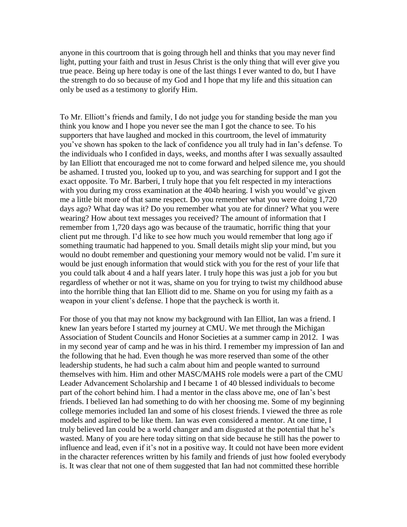anyone in this courtroom that is going through hell and thinks that you may never find light, putting your faith and trust in Jesus Christ is the only thing that will ever give you true peace. Being up here today is one of the last things I ever wanted to do, but I have the strength to do so because of my God and I hope that my life and this situation can only be used as a testimony to glorify Him.

To Mr. Elliott's friends and family, I do not judge you for standing beside the man you think you know and I hope you never see the man I got the chance to see. To his supporters that have laughed and mocked in this courtroom, the level of immaturity you've shown has spoken to the lack of confidence you all truly had in Ian's defense. To the individuals who I confided in days, weeks, and months after I was sexually assaulted by Ian Elliott that encouraged me not to come forward and helped silence me, you should be ashamed. I trusted you, looked up to you, and was searching for support and I got the exact opposite. To Mr. Barberi, I truly hope that you felt respected in my interactions with you during my cross examination at the 404b hearing. I wish you would've given me a little bit more of that same respect. Do you remember what you were doing 1,720 days ago? What day was it? Do you remember what you ate for dinner? What you were wearing? How about text messages you received? The amount of information that I remember from 1,720 days ago was because of the traumatic, horrific thing that your client put me through. I'd like to see how much you would remember that long ago if something traumatic had happened to you. Small details might slip your mind, but you would no doubt remember and questioning your memory would not be valid. I'm sure it would be just enough information that would stick with you for the rest of your life that you could talk about 4 and a half years later. I truly hope this was just a job for you but regardless of whether or not it was, shame on you for trying to twist my childhood abuse into the horrible thing that Ian Elliott did to me. Shame on you for using my faith as a weapon in your client's defense. I hope that the paycheck is worth it.

For those of you that may not know my background with Ian Elliot, Ian was a friend. I knew Ian years before I started my journey at CMU. We met through the Michigan Association of Student Councils and Honor Societies at a summer camp in 2012. I was in my second year of camp and he was in his third. I remember my impression of Ian and the following that he had. Even though he was more reserved than some of the other leadership students, he had such a calm about him and people wanted to surround themselves with him. Him and other MASC/MAHS role models were a part of the CMU Leader Advancement Scholarship and I became 1 of 40 blessed individuals to become part of the cohort behind him. I had a mentor in the class above me, one of Ian's best friends. I believed Ian had something to do with her choosing me. Some of my beginning college memories included Ian and some of his closest friends. I viewed the three as role models and aspired to be like them. Ian was even considered a mentor. At one time, I truly believed Ian could be a world changer and am disgusted at the potential that he's wasted. Many of you are here today sitting on that side because he still has the power to influence and lead, even if it's not in a positive way. It could not have been more evident in the character references written by his family and friends of just how fooled everybody is. It was clear that not one of them suggested that Ian had not committed these horrible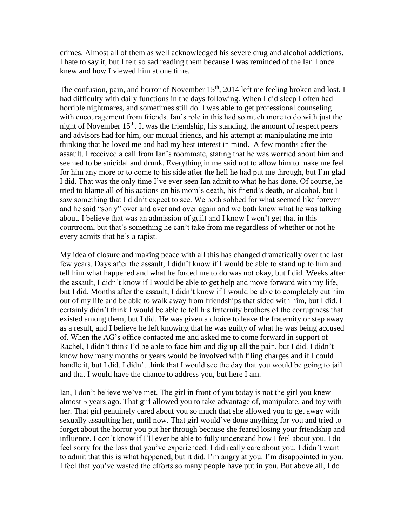crimes. Almost all of them as well acknowledged his severe drug and alcohol addictions. I hate to say it, but I felt so sad reading them because I was reminded of the Ian I once knew and how I viewed him at one time.

The confusion, pain, and horror of November 15<sup>th</sup>, 2014 left me feeling broken and lost. I had difficulty with daily functions in the days following. When I did sleep I often had horrible nightmares, and sometimes still do. I was able to get professional counseling with encouragement from friends. Ian's role in this had so much more to do with just the night of November  $15<sup>th</sup>$ . It was the friendship, his standing, the amount of respect peers and advisors had for him, our mutual friends, and his attempt at manipulating me into thinking that he loved me and had my best interest in mind. A few months after the assault, I received a call from Ian's roommate, stating that he was worried about him and seemed to be suicidal and drunk. Everything in me said not to allow him to make me feel for him any more or to come to his side after the hell he had put me through, but I'm glad I did. That was the only time I've ever seen Ian admit to what he has done. Of course, he tried to blame all of his actions on his mom's death, his friend's death, or alcohol, but I saw something that I didn't expect to see. We both sobbed for what seemed like forever and he said "sorry" over and over and over again and we both knew what he was talking about. I believe that was an admission of guilt and I know I won't get that in this courtroom, but that's something he can't take from me regardless of whether or not he every admits that he's a rapist.

My idea of closure and making peace with all this has changed dramatically over the last few years. Days after the assault, I didn't know if I would be able to stand up to him and tell him what happened and what he forced me to do was not okay, but I did. Weeks after the assault, I didn't know if I would be able to get help and move forward with my life, but I did. Months after the assault, I didn't know if I would be able to completely cut him out of my life and be able to walk away from friendships that sided with him, but I did. I certainly didn't think I would be able to tell his fraternity brothers of the corruptness that existed among them, but I did. He was given a choice to leave the fraternity or step away as a result, and I believe he left knowing that he was guilty of what he was being accused of. When the AG's office contacted me and asked me to come forward in support of Rachel, I didn't think I'd be able to face him and dig up all the pain, but I did. I didn't know how many months or years would be involved with filing charges and if I could handle it, but I did. I didn't think that I would see the day that you would be going to jail and that I would have the chance to address you, but here I am.

Ian, I don't believe we've met. The girl in front of you today is not the girl you knew almost 5 years ago. That girl allowed you to take advantage of, manipulate, and toy with her. That girl genuinely cared about you so much that she allowed you to get away with sexually assaulting her, until now. That girl would've done anything for you and tried to forget about the horror you put her through because she feared losing your friendship and influence. I don't know if I'll ever be able to fully understand how I feel about you. I do feel sorry for the loss that you've experienced. I did really care about you. I didn't want to admit that this is what happened, but it did. I'm angry at you. I'm disappointed in you. I feel that you've wasted the efforts so many people have put in you. But above all, I do